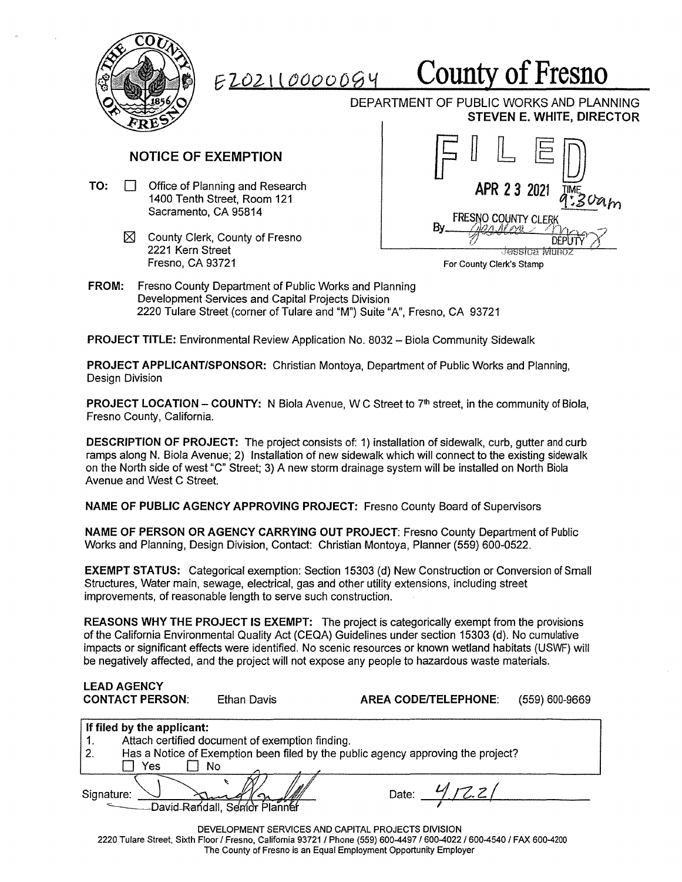

## *e 2-02-* <sup>t</sup>l *000000 'i* **County of Fresno**

DEPARTMENT OF PUBLIC WORKS AND PLANNING **STEVEN E. WHITE, DIRECTOR** 

## **NOTICE OF EXEMPTION**

- **TO:** 0 Office of Planning and Research 1400 Tenth Street, Room 121 Sacramento, CA 95814
	- $\boxtimes$  County Clerk, County of Fresno 2221 Kern Street Fresno, CA 93721



For County Clerk's Stamp

**FROM:** Fresno County Department of Public Works and Planning Development Services and Capital Projects Division 2220 Tulare Street (corner of Tulare and **"M")** Suite "A", Fresno, CA 93721

**PROJECT TITLE: Environmental Review Application No. 8032 - Biola Community Sidewalk** 

**PROJECT APPLICANT/SPONSOR:** Christian Montoya, Department of Public Works and Planning, Design Division

**PROJECT LOCATION - COUNTY:** N Biola Avenue, W C Street to 7<sup>th</sup> street, in the community of Biola, Fresno County, California.

**DESCRIPTION OF PROJECT:** The project consists of: 1) installation of sidewalk, curb, gutter and curb ramps along N. Biola Avenue; 2) Installation of new sidewalk which will connect to the existing sidewalk on the North side of west "C" Street; 3) A new storm drainage system will be installed on North Biola Avenue and West C Street.

**NAME OF PUBLIC AGENCY APPROVING PROJECT:** Fresno County Board of Supervisors

**NAME OF PERSON OR AGENCY CARRYING OUT PROJECT:** Fresno County Department of Public Works and Planning, Design Division, Contact: Christian Montoya, Planner (559) 600-0522.

**EXEMPT STATUS:** Categorical exemption: Section 15303 (d) New Construction or Conversion of Small Structures, Water main, sewage, electrical, gas and other utility extensions, including street improvements, of reasonable length to serve such construction.

**REASONS WHY THE PROJECT IS EXEMPT:** The project is categorically exempt from the provisions of the California Environmental Quality Act (CEQA) Guidelines under section 15303 (d). No cumulative impacts or significant effects were identified. No scenic resources or known wetland habitats (USWF) will be negatively affected, and the project will not expose any people to hazardous waste materials.

| <b>LEAD AGENCY</b><br><b>CONTACT PERSON:</b>                                                                                                                                                                                                     | Ethan Davis                     | <b>AREA CODE/TELEPHONE:</b> | (559) 600-9669 |
|--------------------------------------------------------------------------------------------------------------------------------------------------------------------------------------------------------------------------------------------------|---------------------------------|-----------------------------|----------------|
| If filed by the applicant:<br>Attach certified document of exemption finding.<br>1.<br>2.<br>Has a Notice of Exemption been filed by the public agency approving the project?<br>Yes<br>No                                                       |                                 |                             |                |
| Signature:                                                                                                                                                                                                                                       | - David Randall, Senior Planner | Date: $4/72.2/$             |                |
| DEVELOPMENT SERVICES AND CAPITAL PROJECTS DIVISION<br>2220 Tulare Street, Sixth Floor / Fresno, California 93721 / Phone (559) 600-4497 / 600-4022 / 600-4540 / FAX 600-4200<br>The County of Fresno is an Equal Employment Opportunity Employer |                                 |                             |                |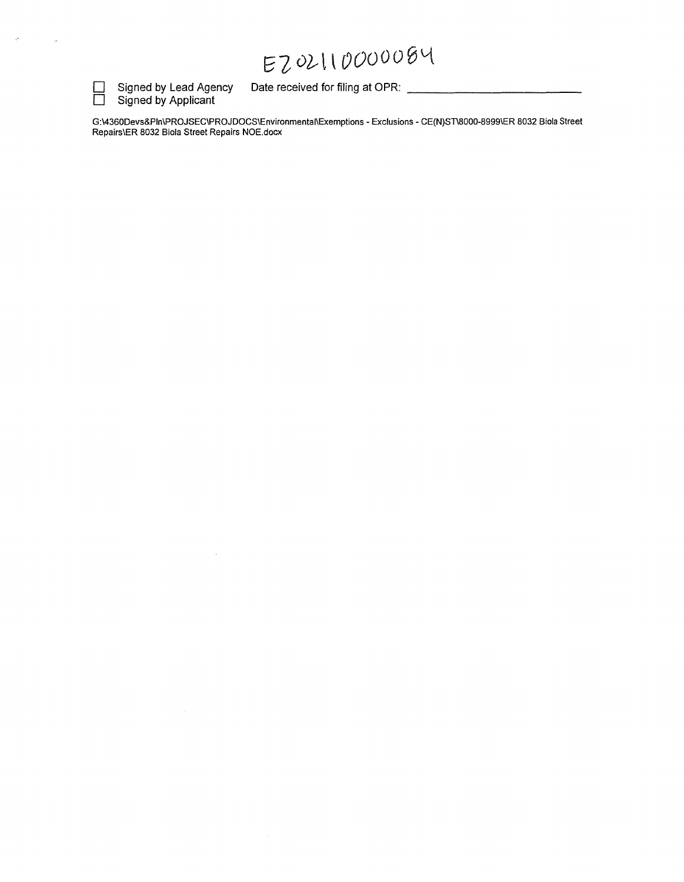## 8-Z *oil\ 000006~*



 $\sim$ 

 $\hat{a}$ 

□ Signed by Lead Agency Date received for filing at OPR: <br>□ Signed by Applicant Signed by Lead Agency<br>Signed by Applicant

 $\mathcal{L}_{\mathcal{A}}$ 

G:\4360Devs&Pln\PROJSEC\PROJDOCS\Environmental\Exemptions - Exclusions - CE(N)ST\8000-8999\ER 8032 Biola Street Repairs\ER 8032 Biola Street Repairs NOE.docx